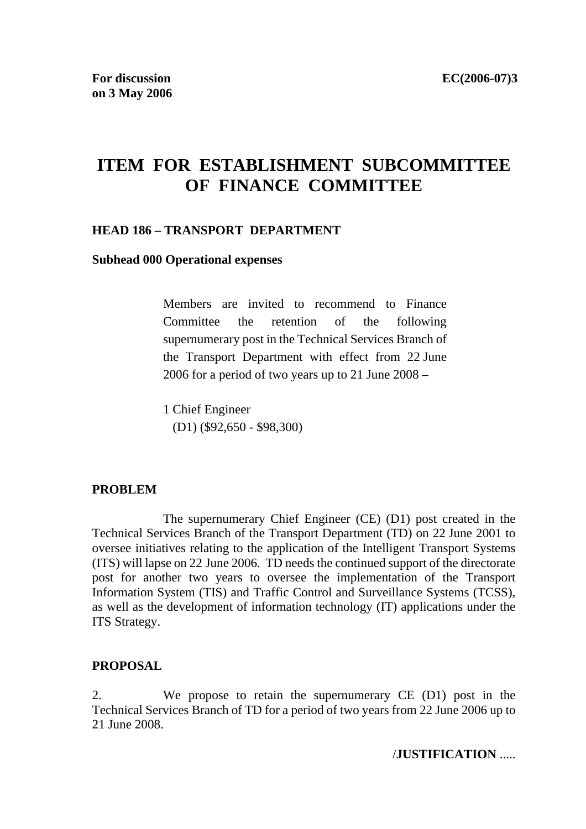# **ITEM FOR ESTABLISHMENT SUBCOMMITTEE OF FINANCE COMMITTEE**

#### **HEAD 186 – TRANSPORT DEPARTMENT**

#### **Subhead 000 Operational expenses**

Members are invited to recommend to Finance Committee the retention of the following supernumerary post in the Technical Services Branch of the Transport Department with effect from 22 June 2006 for a period of two years up to 21 June 2008 –

1 Chief Engineer (D1) (\$92,650 - \$98,300)

#### **PROBLEM**

 The supernumerary Chief Engineer (CE) (D1) post created in the Technical Services Branch of the Transport Department (TD) on 22 June 2001 to oversee initiatives relating to the application of the Intelligent Transport Systems (ITS) will lapse on 22 June 2006. TD needs the continued support of the directorate post for another two years to oversee the implementation of the Transport Information System (TIS) and Traffic Control and Surveillance Systems (TCSS), as well as the development of information technology (IT) applications under the ITS Strategy.

#### **PROPOSAL**

2. We propose to retain the supernumerary CE (D1) post in the Technical Services Branch of TD for a period of two years from 22 June 2006 up to 21 June 2008.

/**JUSTIFICATION** .....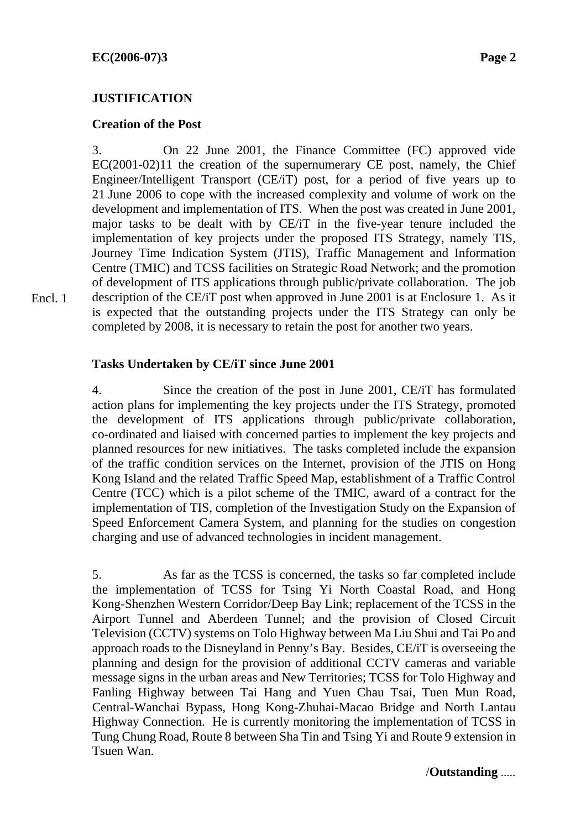Encl. 1

#### **JUSTIFICATION**

#### **Creation of the Post**

3. On 22 June 2001, the Finance Committee (FC) approved vide EC(2001-02)11 the creation of the supernumerary CE post, namely, the Chief Engineer/Intelligent Transport (CE/iT) post, for a period of five years up to 21 June 2006 to cope with the increased complexity and volume of work on the development and implementation of ITS. When the post was created in June 2001, major tasks to be dealt with by CE/iT in the five-year tenure included the implementation of key projects under the proposed ITS Strategy, namely TIS, Journey Time Indication System (JTIS), Traffic Management and Information Centre (TMIC) and TCSS facilities on Strategic Road Network; and the promotion of development of ITS applications through public/private collaboration. The job description of the CE/iT post when approved in June 2001 is at Enclosure 1. As it is expected that the outstanding projects under the ITS Strategy can only be completed by 2008, it is necessary to retain the post for another two years.

**Tasks Undertaken by CE/iT since June 2001** 

4. Since the creation of the post in June 2001, CE/iT has formulated action plans for implementing the key projects under the ITS Strategy, promoted the development of ITS applications through public/private collaboration, co-ordinated and liaised with concerned parties to implement the key projects and planned resources for new initiatives. The tasks completed include the expansion of the traffic condition services on the Internet, provision of the JTIS on Hong Kong Island and the related Traffic Speed Map, establishment of a Traffic Control Centre (TCC) which is a pilot scheme of the TMIC, award of a contract for the implementation of TIS, completion of the Investigation Study on the Expansion of Speed Enforcement Camera System, and planning for the studies on congestion charging and use of advanced technologies in incident management.

5. As far as the TCSS is concerned, the tasks so far completed include the implementation of TCSS for Tsing Yi North Coastal Road, and Hong Kong-Shenzhen Western Corridor/Deep Bay Link; replacement of the TCSS in the Airport Tunnel and Aberdeen Tunnel; and the provision of Closed Circuit Television (CCTV) systems on Tolo Highway between Ma Liu Shui and Tai Po and approach roads to the Disneyland in Penny's Bay. Besides, CE/iT is overseeing the planning and design for the provision of additional CCTV cameras and variable message signs in the urban areas and New Territories; TCSS for Tolo Highway and Fanling Highway between Tai Hang and Yuen Chau Tsai, Tuen Mun Road, Central-Wanchai Bypass, Hong Kong-Zhuhai-Macao Bridge and North Lantau Highway Connection. He is currently monitoring the implementation of TCSS in Tung Chung Road, Route 8 between Sha Tin and Tsing Yi and Route 9 extension in Tsuen Wan.

/**Outstanding** .....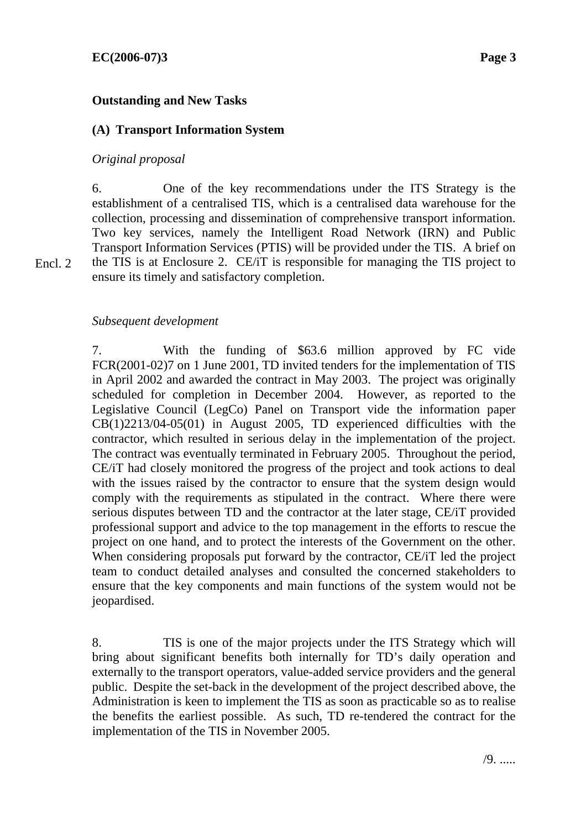#### **Outstanding and New Tasks**

# **(A) Transport Information System**

#### *Original proposal*

Encl. 2

6. One of the key recommendations under the ITS Strategy is the establishment of a centralised TIS, which is a centralised data warehouse for the collection, processing and dissemination of comprehensive transport information. Two key services, namely the Intelligent Road Network (IRN) and Public Transport Information Services (PTIS) will be provided under the TIS. A brief on the TIS is at Enclosure 2. CE/iT is responsible for managing the TIS project to ensure its timely and satisfactory completion.

#### *Subsequent development*

7. With the funding of \$63.6 million approved by FC vide FCR(2001-02)7 on 1 June 2001, TD invited tenders for the implementation of TIS in April 2002 and awarded the contract in May 2003. The project was originally scheduled for completion in December 2004. However, as reported to the Legislative Council (LegCo) Panel on Transport vide the information paper CB(1)2213/04-05(01) in August 2005, TD experienced difficulties with the contractor, which resulted in serious delay in the implementation of the project. The contract was eventually terminated in February 2005. Throughout the period, CE/iT had closely monitored the progress of the project and took actions to deal with the issues raised by the contractor to ensure that the system design would comply with the requirements as stipulated in the contract. Where there were serious disputes between TD and the contractor at the later stage, CE/iT provided professional support and advice to the top management in the efforts to rescue the project on one hand, and to protect the interests of the Government on the other. When considering proposals put forward by the contractor, CE/iT led the project team to conduct detailed analyses and consulted the concerned stakeholders to ensure that the key components and main functions of the system would not be jeopardised.

8. TIS is one of the major projects under the ITS Strategy which will bring about significant benefits both internally for TD's daily operation and externally to the transport operators, value-added service providers and the general public. Despite the set-back in the development of the project described above, the Administration is keen to implement the TIS as soon as practicable so as to realise the benefits the earliest possible. As such, TD re-tendered the contract for the implementation of the TIS in November 2005.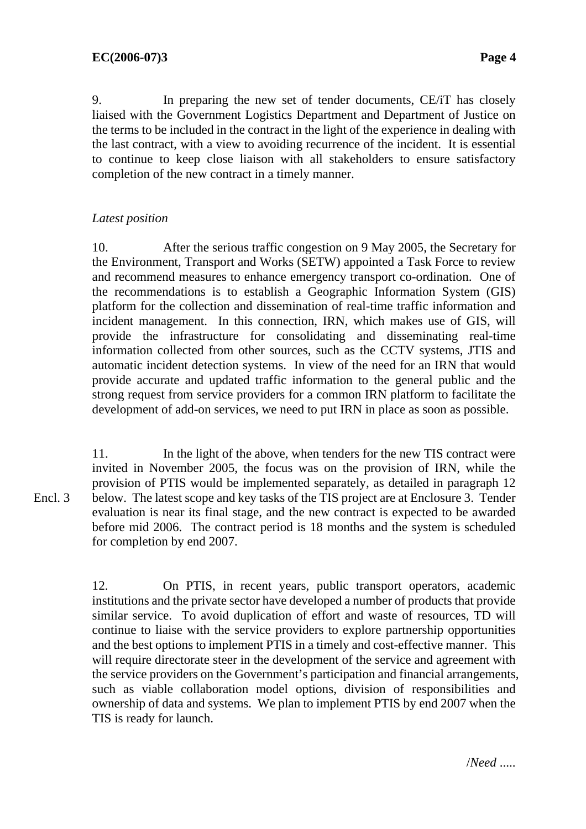9. In preparing the new set of tender documents, CE/iT has closely liaised with the Government Logistics Department and Department of Justice on the terms to be included in the contract in the light of the experience in dealing with the last contract, with a view to avoiding recurrence of the incident. It is essential to continue to keep close liaison with all stakeholders to ensure satisfactory completion of the new contract in a timely manner.

# *Latest position*

10. After the serious traffic congestion on 9 May 2005, the Secretary for the Environment, Transport and Works (SETW) appointed a Task Force to review and recommend measures to enhance emergency transport co-ordination. One of the recommendations is to establish a Geographic Information System (GIS) platform for the collection and dissemination of real-time traffic information and incident management. In this connection, IRN, which makes use of GIS, will provide the infrastructure for consolidating and disseminating real-time information collected from other sources, such as the CCTV systems, JTIS and automatic incident detection systems. In view of the need for an IRN that would provide accurate and updated traffic information to the general public and the strong request from service providers for a common IRN platform to facilitate the development of add-on services, we need to put IRN in place as soon as possible.

11. In the light of the above, when tenders for the new TIS contract were invited in November 2005, the focus was on the provision of IRN, while the provision of PTIS would be implemented separately, as detailed in paragraph 12 below. The latest scope and key tasks of the TIS project are at Enclosure 3. Tender evaluation is near its final stage, and the new contract is expected to be awarded before mid 2006. The contract period is 18 months and the system is scheduled for completion by end 2007. Encl. 3

> 12. On PTIS, in recent years, public transport operators, academic institutions and the private sector have developed a number of products that provide similar service. To avoid duplication of effort and waste of resources, TD will continue to liaise with the service providers to explore partnership opportunities and the best options to implement PTIS in a timely and cost-effective manner. This will require directorate steer in the development of the service and agreement with the service providers on the Government's participation and financial arrangements, such as viable collaboration model options, division of responsibilities and ownership of data and systems. We plan to implement PTIS by end 2007 when the TIS is ready for launch.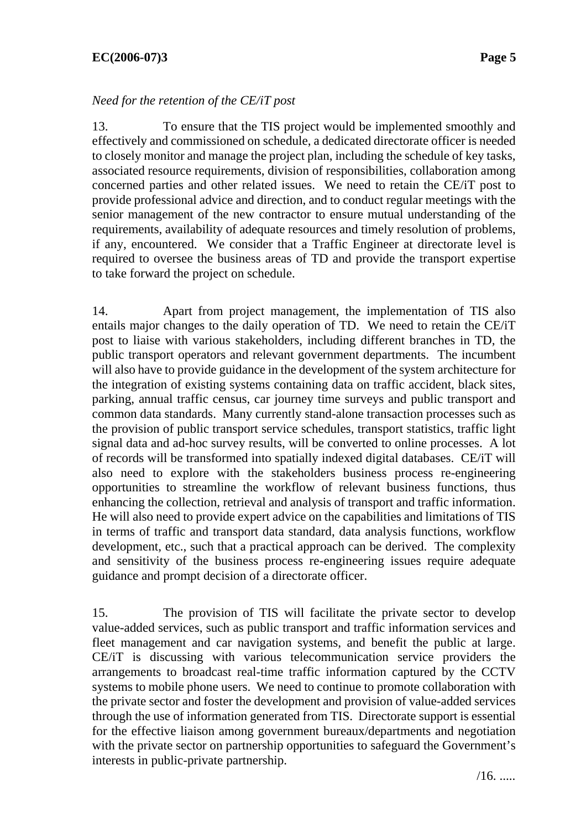# **EC(2006-07)3 Page 5**

#### *Need for the retention of the CE/iT post*

13. To ensure that the TIS project would be implemented smoothly and effectively and commissioned on schedule, a dedicated directorate officer is needed to closely monitor and manage the project plan, including the schedule of key tasks, associated resource requirements, division of responsibilities, collaboration among concerned parties and other related issues. We need to retain the CE/iT post to provide professional advice and direction, and to conduct regular meetings with the senior management of the new contractor to ensure mutual understanding of the requirements, availability of adequate resources and timely resolution of problems, if any, encountered. We consider that a Traffic Engineer at directorate level is required to oversee the business areas of TD and provide the transport expertise to take forward the project on schedule.

14. Apart from project management, the implementation of TIS also entails major changes to the daily operation of TD. We need to retain the CE/iT post to liaise with various stakeholders, including different branches in TD, the public transport operators and relevant government departments. The incumbent will also have to provide guidance in the development of the system architecture for the integration of existing systems containing data on traffic accident, black sites, parking, annual traffic census, car journey time surveys and public transport and common data standards. Many currently stand-alone transaction processes such as the provision of public transport service schedules, transport statistics, traffic light signal data and ad-hoc survey results, will be converted to online processes. A lot of records will be transformed into spatially indexed digital databases. CE/iT will also need to explore with the stakeholders business process re-engineering opportunities to streamline the workflow of relevant business functions, thus enhancing the collection, retrieval and analysis of transport and traffic information. He will also need to provide expert advice on the capabilities and limitations of TIS in terms of traffic and transport data standard, data analysis functions, workflow development, etc., such that a practical approach can be derived. The complexity and sensitivity of the business process re-engineering issues require adequate guidance and prompt decision of a directorate officer.

15. The provision of TIS will facilitate the private sector to develop value-added services, such as public transport and traffic information services and fleet management and car navigation systems, and benefit the public at large. CE/iT is discussing with various telecommunication service providers the arrangements to broadcast real-time traffic information captured by the CCTV systems to mobile phone users. We need to continue to promote collaboration with the private sector and foster the development and provision of value-added services through the use of information generated from TIS. Directorate support is essential for the effective liaison among government bureaux/departments and negotiation with the private sector on partnership opportunities to safeguard the Government's interests in public-private partnership.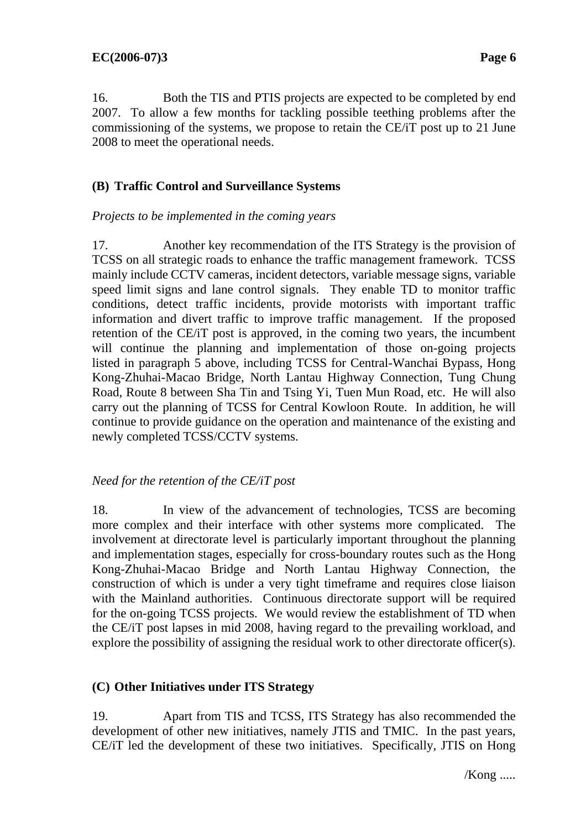16. Both the TIS and PTIS projects are expected to be completed by end 2007. To allow a few months for tackling possible teething problems after the commissioning of the systems, we propose to retain the CE/iT post up to 21 June 2008 to meet the operational needs.

#### **(B) Traffic Control and Surveillance Systems**

#### *Projects to be implemented in the coming years*

17. Another key recommendation of the ITS Strategy is the provision of TCSS on all strategic roads to enhance the traffic management framework. TCSS mainly include CCTV cameras, incident detectors, variable message signs, variable speed limit signs and lane control signals. They enable TD to monitor traffic conditions, detect traffic incidents, provide motorists with important traffic information and divert traffic to improve traffic management. If the proposed retention of the CE/iT post is approved, in the coming two years, the incumbent will continue the planning and implementation of those on-going projects listed in paragraph 5 above, including TCSS for Central-Wanchai Bypass, Hong Kong-Zhuhai-Macao Bridge, North Lantau Highway Connection, Tung Chung Road, Route 8 between Sha Tin and Tsing Yi, Tuen Mun Road, etc. He will also carry out the planning of TCSS for Central Kowloon Route. In addition, he will continue to provide guidance on the operation and maintenance of the existing and newly completed TCSS/CCTV systems.

#### *Need for the retention of the CE/iT post*

18. In view of the advancement of technologies, TCSS are becoming more complex and their interface with other systems more complicated. The involvement at directorate level is particularly important throughout the planning and implementation stages, especially for cross-boundary routes such as the Hong Kong-Zhuhai-Macao Bridge and North Lantau Highway Connection, the construction of which is under a very tight timeframe and requires close liaison with the Mainland authorities. Continuous directorate support will be required for the on-going TCSS projects. We would review the establishment of TD when the CE/iT post lapses in mid 2008, having regard to the prevailing workload, and explore the possibility of assigning the residual work to other directorate officer(s).

#### **(C) Other Initiatives under ITS Strategy**

19. Apart from TIS and TCSS, ITS Strategy has also recommended the development of other new initiatives, namely JTIS and TMIC. In the past years, CE/iT led the development of these two initiatives. Specifically, JTIS on Hong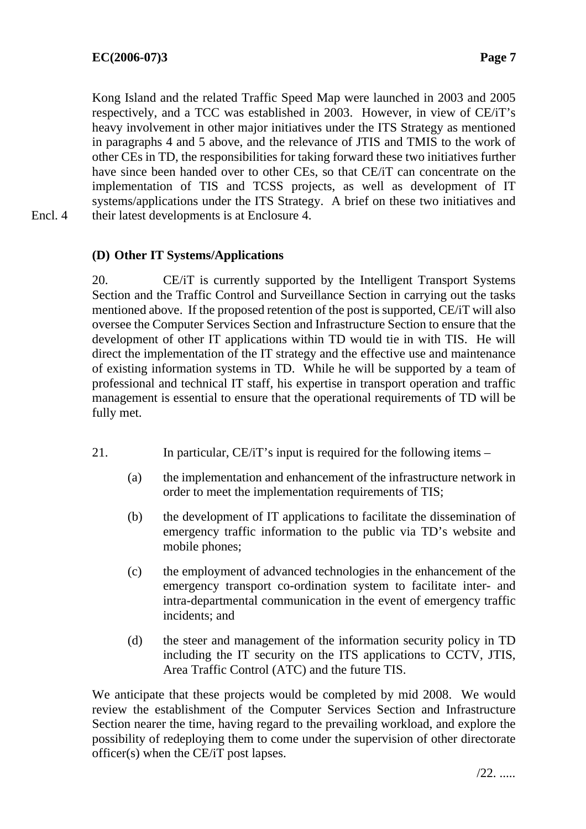Kong Island and the related Traffic Speed Map were launched in 2003 and 2005 respectively, and a TCC was established in 2003. However, in view of CE/iT's heavy involvement in other major initiatives under the ITS Strategy as mentioned in paragraphs 4 and 5 above, and the relevance of JTIS and TMIS to the work of other CEs in TD, the responsibilities for taking forward these two initiatives further have since been handed over to other CEs, so that CE/iT can concentrate on the implementation of TIS and TCSS projects, as well as development of IT systems/applications under the ITS Strategy. A brief on these two initiatives and their latest developments is at Enclosure 4.

Encl. 4

# **(D) Other IT Systems/Applications**

20. CE/iT is currently supported by the Intelligent Transport Systems Section and the Traffic Control and Surveillance Section in carrying out the tasks mentioned above. If the proposed retention of the post is supported, CE/iT will also oversee the Computer Services Section and Infrastructure Section to ensure that the development of other IT applications within TD would tie in with TIS. He will direct the implementation of the IT strategy and the effective use and maintenance of existing information systems in TD. While he will be supported by a team of professional and technical IT staff, his expertise in transport operation and traffic management is essential to ensure that the operational requirements of TD will be fully met.

- 21. In particular, CE/iT's input is required for the following items
	- (a) the implementation and enhancement of the infrastructure network in order to meet the implementation requirements of TIS;
	- (b) the development of IT applications to facilitate the dissemination of emergency traffic information to the public via TD's website and mobile phones;
	- (c) the employment of advanced technologies in the enhancement of the emergency transport co-ordination system to facilitate inter- and intra-departmental communication in the event of emergency traffic incidents; and
	- (d) the steer and management of the information security policy in TD including the IT security on the ITS applications to CCTV, JTIS, Area Traffic Control (ATC) and the future TIS.

We anticipate that these projects would be completed by mid 2008. We would review the establishment of the Computer Services Section and Infrastructure Section nearer the time, having regard to the prevailing workload, and explore the possibility of redeploying them to come under the supervision of other directorate officer(s) when the CE/iT post lapses.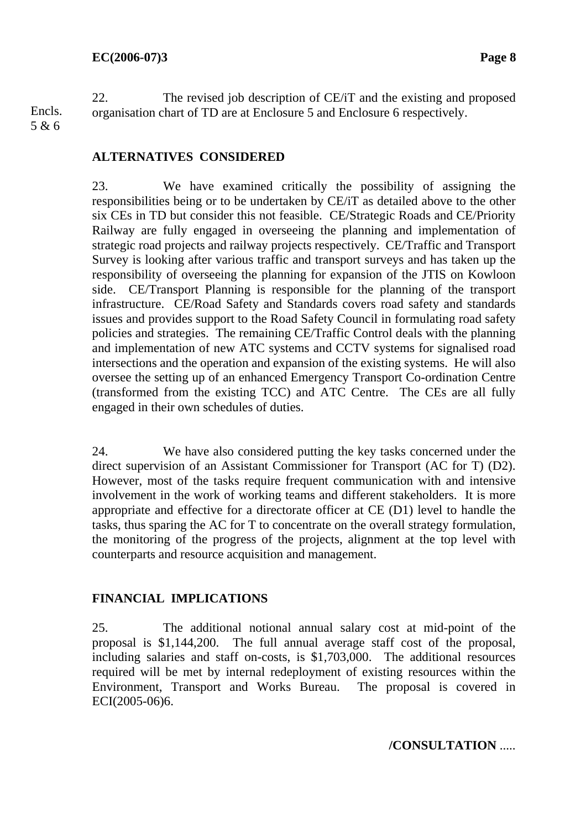22. The revised job description of CE/iT and the existing and proposed organisation chart of TD are at Enclosure 5 and Enclosure 6 respectively. Encls.

# 5 & 6

#### **ALTERNATIVES CONSIDERED**

23. We have examined critically the possibility of assigning the responsibilities being or to be undertaken by CE/iT as detailed above to the other six CEs in TD but consider this not feasible. CE/Strategic Roads and CE/Priority Railway are fully engaged in overseeing the planning and implementation of strategic road projects and railway projects respectively. CE/Traffic and Transport Survey is looking after various traffic and transport surveys and has taken up the responsibility of overseeing the planning for expansion of the JTIS on Kowloon side. CE/Transport Planning is responsible for the planning of the transport infrastructure. CE/Road Safety and Standards covers road safety and standards issues and provides support to the Road Safety Council in formulating road safety policies and strategies. The remaining CE/Traffic Control deals with the planning and implementation of new ATC systems and CCTV systems for signalised road intersections and the operation and expansion of the existing systems. He will also oversee the setting up of an enhanced Emergency Transport Co-ordination Centre (transformed from the existing TCC) and ATC Centre. The CEs are all fully engaged in their own schedules of duties.

24. We have also considered putting the key tasks concerned under the direct supervision of an Assistant Commissioner for Transport (AC for T) (D2). However, most of the tasks require frequent communication with and intensive involvement in the work of working teams and different stakeholders. It is more appropriate and effective for a directorate officer at CE (D1) level to handle the tasks, thus sparing the AC for T to concentrate on the overall strategy formulation, the monitoring of the progress of the projects, alignment at the top level with counterparts and resource acquisition and management.

#### **FINANCIAL IMPLICATIONS**

25. The additional notional annual salary cost at mid-point of the proposal is \$1,144,200. The full annual average staff cost of the proposal, including salaries and staff on-costs, is \$1,703,000. The additional resources required will be met by internal redeployment of existing resources within the Environment, Transport and Works Bureau. The proposal is covered in ECI(2005-06)6.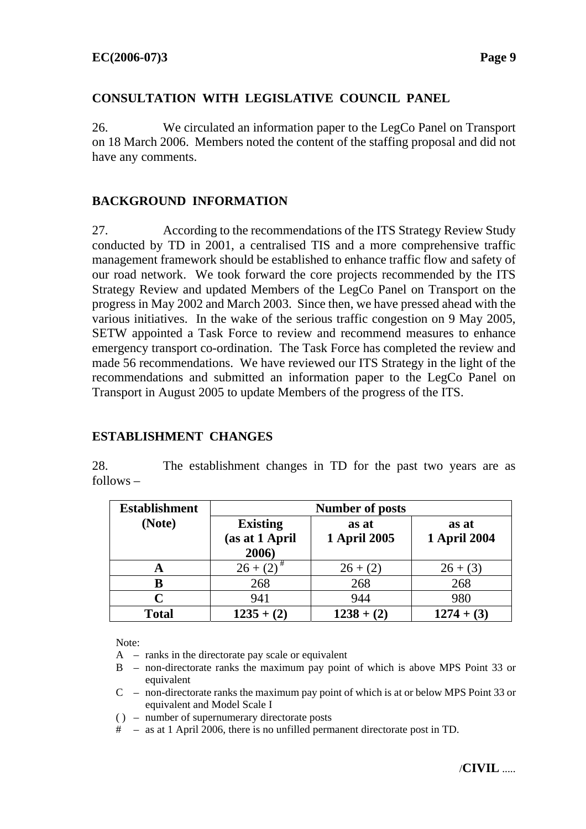#### **CONSULTATION WITH LEGISLATIVE COUNCIL PANEL**

26. We circulated an information paper to the LegCo Panel on Transport on 18 March 2006. Members noted the content of the staffing proposal and did not have any comments.

# **BACKGROUND INFORMATION**

27. According to the recommendations of the ITS Strategy Review Study conducted by TD in 2001, a centralised TIS and a more comprehensive traffic management framework should be established to enhance traffic flow and safety of our road network. We took forward the core projects recommended by the ITS Strategy Review and updated Members of the LegCo Panel on Transport on the progress in May 2002 and March 2003. Since then, we have pressed ahead with the various initiatives. In the wake of the serious traffic congestion on 9 May 2005, SETW appointed a Task Force to review and recommend measures to enhance emergency transport co-ordination. The Task Force has completed the review and made 56 recommendations. We have reviewed our ITS Strategy in the light of the recommendations and submitted an information paper to the LegCo Panel on Transport in August 2005 to update Members of the progress of the ITS.

#### **ESTABLISHMENT CHANGES**

28. The establishment changes in TD for the past two years are as follows –

| <b>Establishment</b> | <b>Number of posts</b>                     |                              |                              |
|----------------------|--------------------------------------------|------------------------------|------------------------------|
| (Note)               | <b>Existing</b><br>(as at 1 April<br>2006) | as at<br><b>1 April 2005</b> | as at<br><b>1 April 2004</b> |
| A                    | $26 + (2)$                                 | $26 + (2)$                   | $26 + (3)$                   |
| B                    | 268                                        | 268                          | 268                          |
|                      | 941                                        | 944                          | 980                          |
| <b>Total</b>         | $1235 + (2)$                               | $1238 + (2)$                 | $1274 + (3)$                 |

Note:

- $A$  ranks in the directorate pay scale or equivalent
- B non-directorate ranks the maximum pay point of which is above MPS Point 33 or equivalent
- C non-directorate ranks the maximum pay point of which is at or below MPS Point 33 or equivalent and Model Scale I
- ( ) number of supernumerary directorate posts
- # as at 1 April 2006, there is no unfilled permanent directorate post in TD.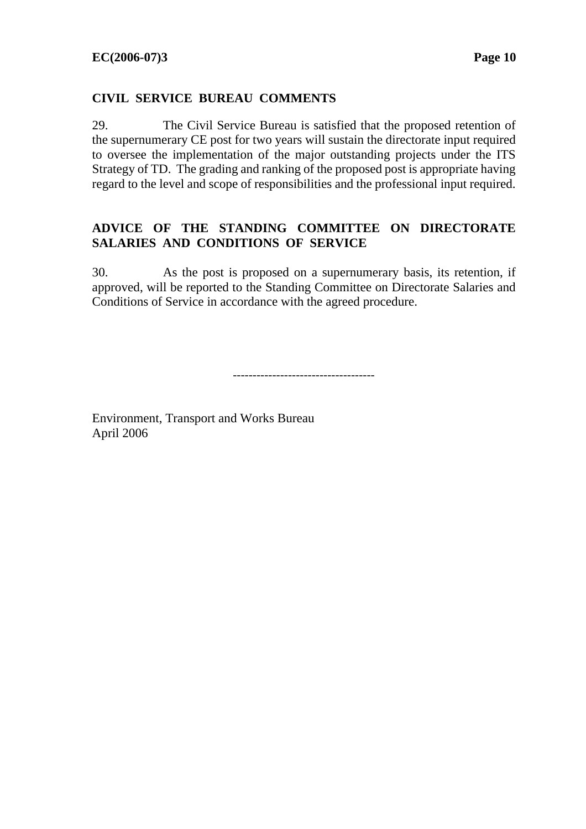#### **CIVIL SERVICE BUREAU COMMENTS**

29. The Civil Service Bureau is satisfied that the proposed retention of the supernumerary CE post for two years will sustain the directorate input required to oversee the implementation of the major outstanding projects under the ITS Strategy of TD. The grading and ranking of the proposed post is appropriate having regard to the level and scope of responsibilities and the professional input required.

# **ADVICE OF THE STANDING COMMITTEE ON DIRECTORATE SALARIES AND CONDITIONS OF SERVICE**

30. As the post is proposed on a supernumerary basis, its retention, if approved, will be reported to the Standing Committee on Directorate Salaries and Conditions of Service in accordance with the agreed procedure.

------------------------------------

Environment, Transport and Works Bureau April 2006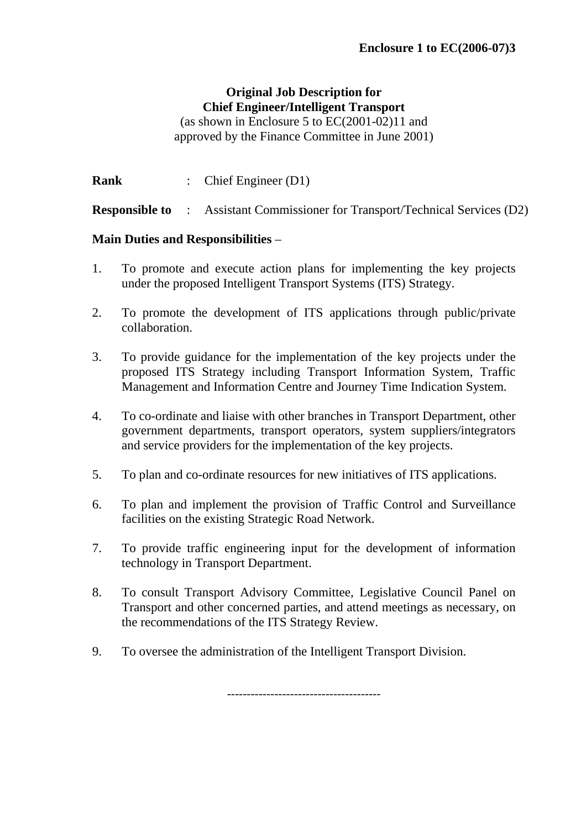# **Original Job Description for Chief Engineer/Intelligent Transport**

(as shown in Enclosure 5 to EC(2001-02)11 and approved by the Finance Committee in June 2001)

**Rank** : Chief Engineer (D1)

**Responsible to** : Assistant Commissioner for Transport/Technical Services (D2)

# **Main Duties and Responsibilities** –

- 1. To promote and execute action plans for implementing the key projects under the proposed Intelligent Transport Systems (ITS) Strategy.
- 2. To promote the development of ITS applications through public/private collaboration.
- 3. To provide guidance for the implementation of the key projects under the proposed ITS Strategy including Transport Information System, Traffic Management and Information Centre and Journey Time Indication System.
- 4. To co-ordinate and liaise with other branches in Transport Department, other government departments, transport operators, system suppliers/integrators and service providers for the implementation of the key projects.
- 5. To plan and co-ordinate resources for new initiatives of ITS applications.
- 6. To plan and implement the provision of Traffic Control and Surveillance facilities on the existing Strategic Road Network.
- 7. To provide traffic engineering input for the development of information technology in Transport Department.
- 8. To consult Transport Advisory Committee, Legislative Council Panel on Transport and other concerned parties, and attend meetings as necessary, on the recommendations of the ITS Strategy Review.

---------------------------------------

9. To oversee the administration of the Intelligent Transport Division.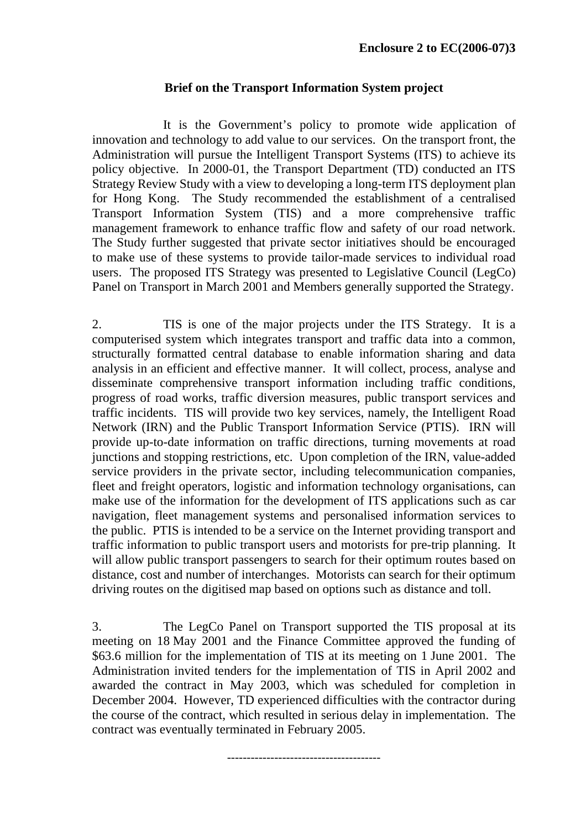#### **Brief on the Transport Information System project**

 It is the Government's policy to promote wide application of innovation and technology to add value to our services. On the transport front, the Administration will pursue the Intelligent Transport Systems (ITS) to achieve its policy objective. In 2000-01, the Transport Department (TD) conducted an ITS Strategy Review Study with a view to developing a long-term ITS deployment plan for Hong Kong. The Study recommended the establishment of a centralised Transport Information System (TIS) and a more comprehensive traffic management framework to enhance traffic flow and safety of our road network. The Study further suggested that private sector initiatives should be encouraged to make use of these systems to provide tailor-made services to individual road users. The proposed ITS Strategy was presented to Legislative Council (LegCo) Panel on Transport in March 2001 and Members generally supported the Strategy.

2. TIS is one of the major projects under the ITS Strategy. It is a computerised system which integrates transport and traffic data into a common, structurally formatted central database to enable information sharing and data analysis in an efficient and effective manner. It will collect, process, analyse and disseminate comprehensive transport information including traffic conditions, progress of road works, traffic diversion measures, public transport services and traffic incidents. TIS will provide two key services, namely, the Intelligent Road Network (IRN) and the Public Transport Information Service (PTIS). IRN will provide up-to-date information on traffic directions, turning movements at road junctions and stopping restrictions, etc. Upon completion of the IRN, value-added service providers in the private sector, including telecommunication companies, fleet and freight operators, logistic and information technology organisations, can make use of the information for the development of ITS applications such as car navigation, fleet management systems and personalised information services to the public. PTIS is intended to be a service on the Internet providing transport and traffic information to public transport users and motorists for pre-trip planning. It will allow public transport passengers to search for their optimum routes based on distance, cost and number of interchanges. Motorists can search for their optimum driving routes on the digitised map based on options such as distance and toll.

3. The LegCo Panel on Transport supported the TIS proposal at its meeting on 18 May 2001 and the Finance Committee approved the funding of \$63.6 million for the implementation of TIS at its meeting on 1 June 2001. The Administration invited tenders for the implementation of TIS in April 2002 and awarded the contract in May 2003, which was scheduled for completion in December 2004. However, TD experienced difficulties with the contractor during the course of the contract, which resulted in serious delay in implementation. The contract was eventually terminated in February 2005.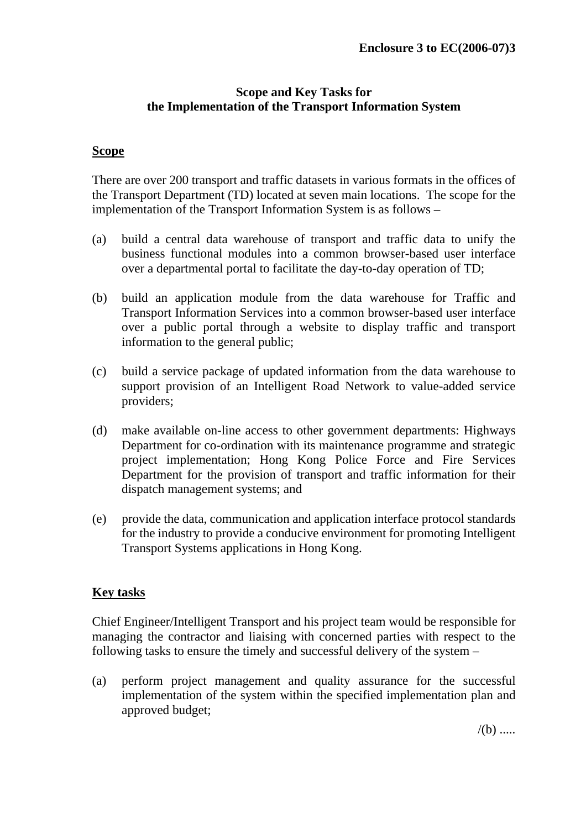#### **Scope and Key Tasks for the Implementation of the Transport Information System**

#### **Scope**

There are over 200 transport and traffic datasets in various formats in the offices of the Transport Department (TD) located at seven main locations. The scope for the implementation of the Transport Information System is as follows –

- (a) build a central data warehouse of transport and traffic data to unify the business functional modules into a common browser-based user interface over a departmental portal to facilitate the day-to-day operation of TD;
- (b) build an application module from the data warehouse for Traffic and Transport Information Services into a common browser-based user interface over a public portal through a website to display traffic and transport information to the general public;
- (c) build a service package of updated information from the data warehouse to support provision of an Intelligent Road Network to value-added service providers;
- (d) make available on-line access to other government departments: Highways Department for co-ordination with its maintenance programme and strategic project implementation; Hong Kong Police Force and Fire Services Department for the provision of transport and traffic information for their dispatch management systems; and
- (e) provide the data, communication and application interface protocol standards for the industry to provide a conducive environment for promoting Intelligent Transport Systems applications in Hong Kong.

#### **Key tasks**

Chief Engineer/Intelligent Transport and his project team would be responsible for managing the contractor and liaising with concerned parties with respect to the following tasks to ensure the timely and successful delivery of the system –

(a) perform project management and quality assurance for the successful implementation of the system within the specified implementation plan and approved budget;

 $/(b)$  .....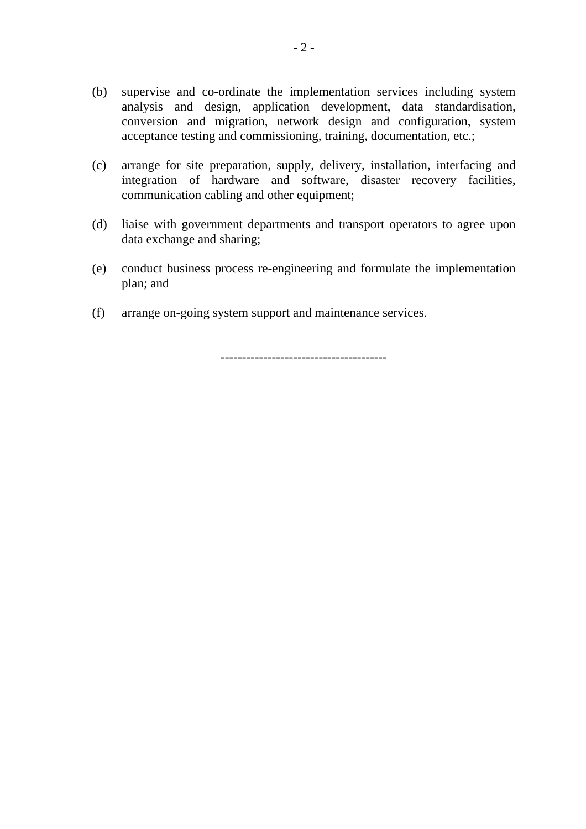- (b) supervise and co-ordinate the implementation services including system analysis and design, application development, data standardisation, conversion and migration, network design and configuration, system acceptance testing and commissioning, training, documentation, etc.;
- (c) arrange for site preparation, supply, delivery, installation, interfacing and integration of hardware and software, disaster recovery facilities, communication cabling and other equipment;
- (d) liaise with government departments and transport operators to agree upon data exchange and sharing;
- (e) conduct business process re-engineering and formulate the implementation plan; and
- (f) arrange on-going system support and maintenance services.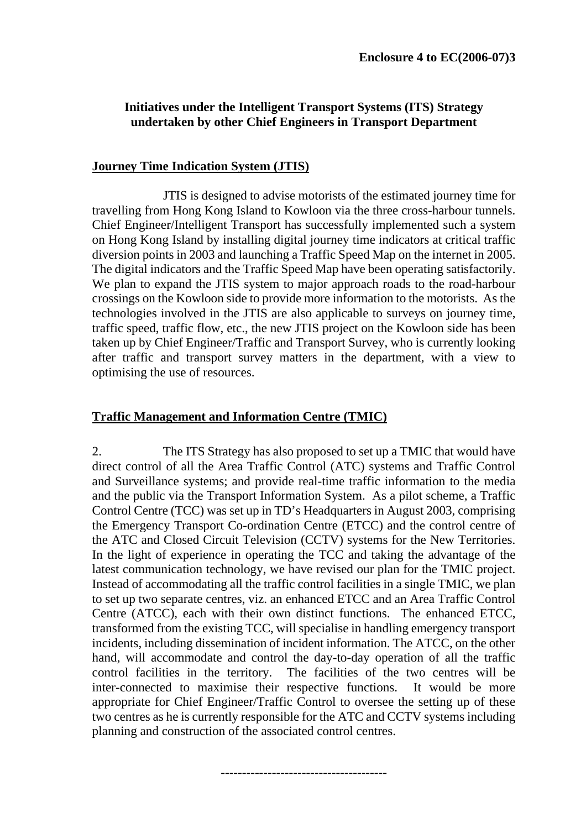# **Initiatives under the Intelligent Transport Systems (ITS) Strategy undertaken by other Chief Engineers in Transport Department**

#### **Journey Time Indication System (JTIS)**

 JTIS is designed to advise motorists of the estimated journey time for travelling from Hong Kong Island to Kowloon via the three cross-harbour tunnels. Chief Engineer/Intelligent Transport has successfully implemented such a system on Hong Kong Island by installing digital journey time indicators at critical traffic diversion points in 2003 and launching a Traffic Speed Map on the internet in 2005. The digital indicators and the Traffic Speed Map have been operating satisfactorily. We plan to expand the JTIS system to major approach roads to the road-harbour crossings on the Kowloon side to provide more information to the motorists. As the technologies involved in the JTIS are also applicable to surveys on journey time, traffic speed, traffic flow, etc., the new JTIS project on the Kowloon side has been taken up by Chief Engineer/Traffic and Transport Survey, who is currently looking after traffic and transport survey matters in the department, with a view to optimising the use of resources.

#### **Traffic Management and Information Centre (TMIC)**

2. The ITS Strategy has also proposed to set up a TMIC that would have direct control of all the Area Traffic Control (ATC) systems and Traffic Control and Surveillance systems; and provide real-time traffic information to the media and the public via the Transport Information System. As a pilot scheme, a Traffic Control Centre (TCC) was set up in TD's Headquarters in August 2003, comprising the Emergency Transport Co-ordination Centre (ETCC) and the control centre of the ATC and Closed Circuit Television (CCTV) systems for the New Territories. In the light of experience in operating the TCC and taking the advantage of the latest communication technology, we have revised our plan for the TMIC project. Instead of accommodating all the traffic control facilities in a single TMIC, we plan to set up two separate centres, viz. an enhanced ETCC and an Area Traffic Control Centre (ATCC), each with their own distinct functions. The enhanced ETCC, transformed from the existing TCC, will specialise in handling emergency transport incidents, including dissemination of incident information. The ATCC, on the other hand, will accommodate and control the day-to-day operation of all the traffic control facilities in the territory. The facilities of the two centres will be inter-connected to maximise their respective functions. It would be more appropriate for Chief Engineer/Traffic Control to oversee the setting up of these two centres as he is currently responsible for the ATC and CCTV systems including planning and construction of the associated control centres.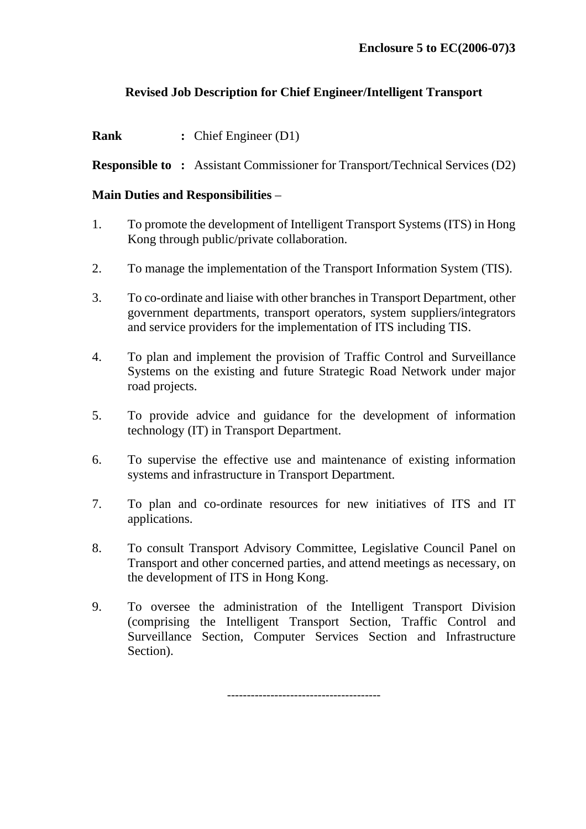#### **Revised Job Description for Chief Engineer/Intelligent Transport**

**Rank** : Chief Engineer (D1)

**Responsible to :** Assistant Commissioner for Transport/Technical Services (D2)

#### **Main Duties and Responsibilities** –

- 1. To promote the development of Intelligent Transport Systems (ITS) in Hong Kong through public/private collaboration.
- 2. To manage the implementation of the Transport Information System (TIS).
- 3. To co-ordinate and liaise with other branches in Transport Department, other government departments, transport operators, system suppliers/integrators and service providers for the implementation of ITS including TIS.
- 4. To plan and implement the provision of Traffic Control and Surveillance Systems on the existing and future Strategic Road Network under major road projects.
- 5. To provide advice and guidance for the development of information technology (IT) in Transport Department.
- 6. To supervise the effective use and maintenance of existing information systems and infrastructure in Transport Department.
- 7. To plan and co-ordinate resources for new initiatives of ITS and IT applications.
- 8. To consult Transport Advisory Committee, Legislative Council Panel on Transport and other concerned parties, and attend meetings as necessary, on the development of ITS in Hong Kong.
- 9. To oversee the administration of the Intelligent Transport Division (comprising the Intelligent Transport Section, Traffic Control and Surveillance Section, Computer Services Section and Infrastructure Section).